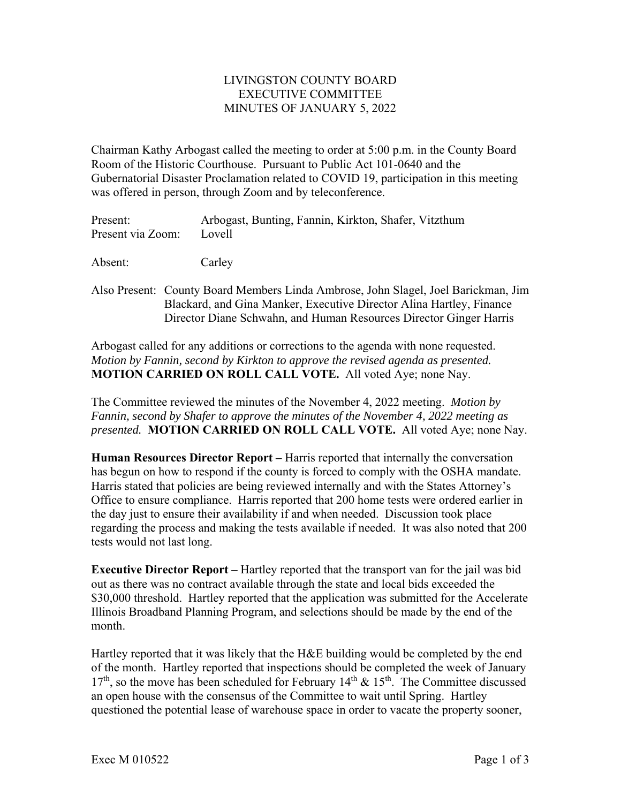## LIVINGSTON COUNTY BOARD EXECUTIVE COMMITTEE MINUTES OF JANUARY 5, 2022

Chairman Kathy Arbogast called the meeting to order at 5:00 p.m. in the County Board Room of the Historic Courthouse. Pursuant to Public Act 101-0640 and the Gubernatorial Disaster Proclamation related to COVID 19, participation in this meeting was offered in person, through Zoom and by teleconference.

| Present:                 | Arbogast, Bunting, Fannin, Kirkton, Shafer, Vitzthum |
|--------------------------|------------------------------------------------------|
| Present via Zoom: Lovell |                                                      |

Absent: Carley

Also Present: County Board Members Linda Ambrose, John Slagel, Joel Barickman, Jim Blackard, and Gina Manker, Executive Director Alina Hartley, Finance Director Diane Schwahn, and Human Resources Director Ginger Harris

Arbogast called for any additions or corrections to the agenda with none requested. *Motion by Fannin, second by Kirkton to approve the revised agenda as presented.*  **MOTION CARRIED ON ROLL CALL VOTE.** All voted Aye; none Nay.

The Committee reviewed the minutes of the November 4, 2022 meeting. *Motion by Fannin, second by Shafer to approve the minutes of the November 4, 2022 meeting as presented.* **MOTION CARRIED ON ROLL CALL VOTE.** All voted Aye; none Nay.

**Human Resources Director Report –** Harris reported that internally the conversation has begun on how to respond if the county is forced to comply with the OSHA mandate. Harris stated that policies are being reviewed internally and with the States Attorney's Office to ensure compliance. Harris reported that 200 home tests were ordered earlier in the day just to ensure their availability if and when needed. Discussion took place regarding the process and making the tests available if needed. It was also noted that 200 tests would not last long.

**Executive Director Report –** Hartley reported that the transport van for the jail was bid out as there was no contract available through the state and local bids exceeded the \$30,000 threshold. Hartley reported that the application was submitted for the Accelerate Illinois Broadband Planning Program, and selections should be made by the end of the month.

Hartley reported that it was likely that the H&E building would be completed by the end of the month. Hartley reported that inspections should be completed the week of January  $17<sup>th</sup>$ , so the move has been scheduled for February  $14<sup>th</sup>$  &  $15<sup>th</sup>$ . The Committee discussed an open house with the consensus of the Committee to wait until Spring. Hartley questioned the potential lease of warehouse space in order to vacate the property sooner,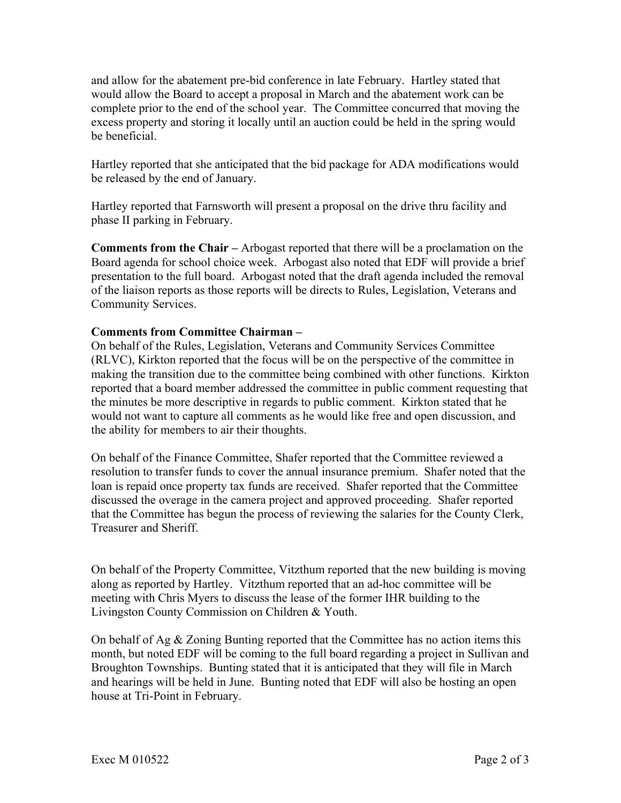and allow for the abatement pre-bid conference in late February. Hartley stated that would allow the Board to accept a proposal in March and the abatement work can be complete prior to the end of the school year. The Committee concurred that moving the excess property and storing it locally until an auction could be held in the spring would be beneficial.

Hartley reported that she anticipated that the bid package for ADA modifications would be released by the end of January.

Hartley reported that Farnsworth will present a proposal on the drive thru facility and phase II parking in February.

**Comments from the Chair –** Arbogast reported that there will be a proclamation on the Board agenda for school choice week. Arbogast also noted that EDF will provide a brief presentation to the full board. Arbogast noted that the draft agenda included the removal of the liaison reports as those reports will be directs to Rules, Legislation, Veterans and Community Services.

## **Comments from Committee Chairman –**

On behalf of the Rules, Legislation, Veterans and Community Services Committee (RLVC), Kirkton reported that the focus will be on the perspective of the committee in making the transition due to the committee being combined with other functions. Kirkton reported that a board member addressed the committee in public comment requesting that the minutes be more descriptive in regards to public comment. Kirkton stated that he would not want to capture all comments as he would like free and open discussion, and the ability for members to air their thoughts.

On behalf of the Finance Committee, Shafer reported that the Committee reviewed a resolution to transfer funds to cover the annual insurance premium. Shafer noted that the loan is repaid once property tax funds are received. Shafer reported that the Committee discussed the overage in the camera project and approved proceeding. Shafer reported that the Committee has begun the process of reviewing the salaries for the County Clerk, Treasurer and Sheriff.

On behalf of the Property Committee, Vitzthum reported that the new building is moving along as reported by Hartley. Vitzthum reported that an ad-hoc committee will be meeting with Chris Myers to discuss the lease of the former IHR building to the Livingston County Commission on Children & Youth.

On behalf of Ag & Zoning Bunting reported that the Committee has no action items this month, but noted EDF will be coming to the full board regarding a project in Sullivan and Broughton Townships. Bunting stated that it is anticipated that they will file in March and hearings will be held in June. Bunting noted that EDF will also be hosting an open house at Tri-Point in February.